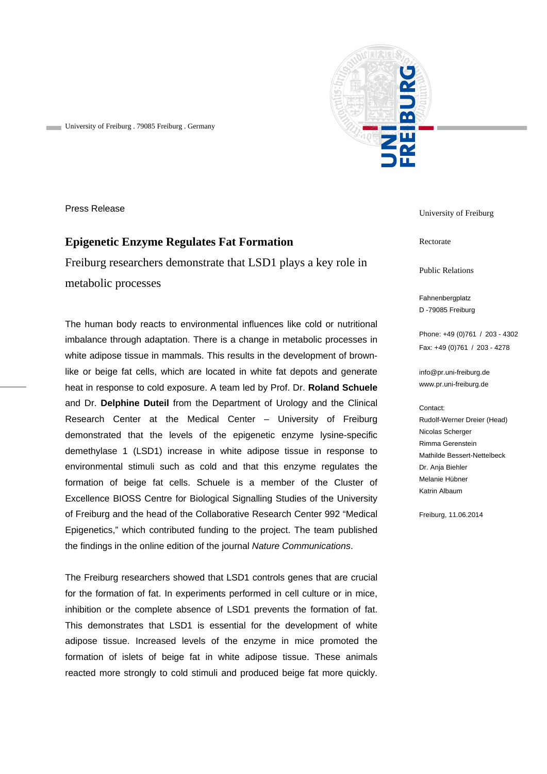

University of Freiburg . 79085 Freiburg . Germany

Press Release

# **Epigenetic Enzyme Regulates Fat Formation**

Freiburg researchers demonstrate that LSD1 plays a key role in metabolic processes

The human body reacts to environmental influences like cold or nutritional imbalance through adaptation. There is a change in metabolic processes in white adipose tissue in mammals. This results in the development of brownlike or beige fat cells, which are located in white fat depots and generate heat in response to cold exposure. A team led by Prof. Dr. **Roland Schuele** and Dr. **Delphine Duteil** from the Department of Urology and the Clinical Research Center at the Medical Center – University of Freiburg demonstrated that the levels of the epigenetic enzyme lysine-specific demethylase 1 (LSD1) increase in white adipose tissue in response to environmental stimuli such as cold and that this enzyme regulates the formation of beige fat cells. Schuele is a member of the Cluster of Excellence BIOSS Centre for Biological Signalling Studies of the University of Freiburg and the head of the Collaborative Research Center 992 "Medical Epigenetics," which contributed funding to the project. The team published the findings in the online edition of the journal *Nature Communications*.

The Freiburg researchers showed that LSD1 controls genes that are crucial for the formation of fat. In experiments performed in cell culture or in mice, inhibition or the complete absence of LSD1 prevents the formation of fat. This demonstrates that LSD1 is essential for the development of white adipose tissue. Increased levels of the enzyme in mice promoted the formation of islets of beige fat in white adipose tissue. These animals reacted more strongly to cold stimuli and produced beige fat more quickly.

University of Freiburg

Rectorate

Public Relations

Fahnenbergplatz D -79085 Freiburg

Phone: +49 (0)761 / 203 - 4302 Fax: +49 (0)761 / 203 - 4278

info@pr.uni-freiburg.de www.pr.uni-freiburg.de

#### Contact:

Rudolf-Werner Dreier (Head) Nicolas Scherger Rimma Gerenstein Mathilde Bessert-Nettelbeck Dr. Anja Biehler Melanie Hübner Katrin Albaum

Freiburg, 11.06.2014